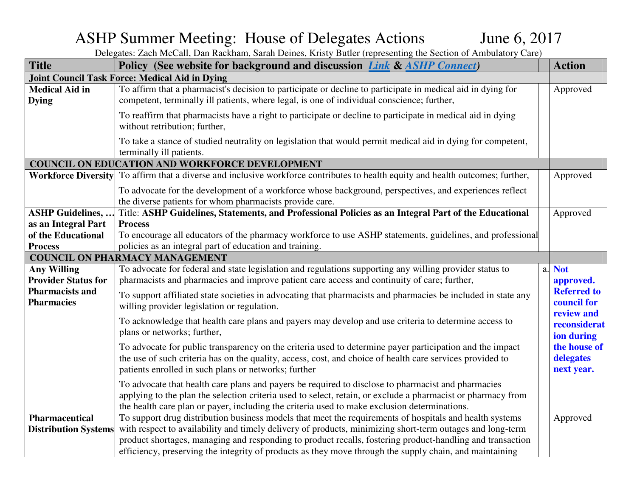## ASHP Summer Meeting: House of Delegates Actions June 6, 2017

| <b>Title</b>                                     | Policy (See website for background and discussion <i>Link &amp; ASHP Connect</i> )                                                                                                                                                                                                                                 |    | <b>Action</b>                                   |
|--------------------------------------------------|--------------------------------------------------------------------------------------------------------------------------------------------------------------------------------------------------------------------------------------------------------------------------------------------------------------------|----|-------------------------------------------------|
|                                                  | <b>Joint Council Task Force: Medical Aid in Dying</b>                                                                                                                                                                                                                                                              |    |                                                 |
| <b>Medical Aid in</b><br><b>Dying</b>            | To affirm that a pharmacist's decision to participate or decline to participate in medical aid in dying for<br>competent, terminally ill patients, where legal, is one of individual conscience; further,                                                                                                          |    | Approved                                        |
|                                                  | To reaffirm that pharmacists have a right to participate or decline to participate in medical aid in dying<br>without retribution; further,                                                                                                                                                                        |    |                                                 |
|                                                  | To take a stance of studied neutrality on legislation that would permit medical aid in dying for competent,<br>terminally ill patients.                                                                                                                                                                            |    |                                                 |
|                                                  | <b>COUNCIL ON EDUCATION AND WORKFORCE DEVELOPMENT</b>                                                                                                                                                                                                                                                              |    |                                                 |
|                                                  | <b>Workforce Diversity</b> To affirm that a diverse and inclusive workforce contributes to health equity and health outcomes; further,                                                                                                                                                                             |    | Approved                                        |
|                                                  | To advocate for the development of a workforce whose background, perspectives, and experiences reflect<br>the diverse patients for whom pharmacists provide care.                                                                                                                                                  |    |                                                 |
| <b>ASHP Guidelines, </b>                         | Title: ASHP Guidelines, Statements, and Professional Policies as an Integral Part of the Educational                                                                                                                                                                                                               |    | Approved                                        |
| as an Integral Part                              | <b>Process</b>                                                                                                                                                                                                                                                                                                     |    |                                                 |
| of the Educational                               | To encourage all educators of the pharmacy workforce to use ASHP statements, guidelines, and professional                                                                                                                                                                                                          |    |                                                 |
| <b>Process</b>                                   | policies as an integral part of education and training.                                                                                                                                                                                                                                                            |    |                                                 |
|                                                  | <b>COUNCIL ON PHARMACY MANAGEMENT</b>                                                                                                                                                                                                                                                                              |    |                                                 |
| <b>Any Willing</b><br><b>Provider Status for</b> | To advocate for federal and state legislation and regulations supporting any willing provider status to<br>pharmacists and pharmacies and improve patient care access and continuity of care; further,                                                                                                             | a. | <b>Not</b><br>approved.                         |
| <b>Pharmacists and</b><br><b>Pharmacies</b>      | To support affiliated state societies in advocating that pharmacists and pharmacies be included in state any<br>willing provider legislation or regulation.                                                                                                                                                        |    | <b>Referred to</b><br>council for<br>review and |
|                                                  | To acknowledge that health care plans and payers may develop and use criteria to determine access to<br>plans or networks; further,                                                                                                                                                                                |    | reconsiderat<br>ion during                      |
|                                                  | To advocate for public transparency on the criteria used to determine payer participation and the impact<br>the use of such criteria has on the quality, access, cost, and choice of health care services provided to<br>patients enrolled in such plans or networks; further                                      |    | the house of<br>delegates<br>next year.         |
|                                                  | To advocate that health care plans and payers be required to disclose to pharmacist and pharmacies<br>applying to the plan the selection criteria used to select, retain, or exclude a pharmacist or pharmacy from<br>the health care plan or payer, including the criteria used to make exclusion determinations. |    |                                                 |
| <b>Pharmaceutical</b>                            | To support drug distribution business models that meet the requirements of hospitals and health systems                                                                                                                                                                                                            |    | Approved                                        |
| <b>Distribution Systems</b>                      | with respect to availability and timely delivery of products, minimizing short-term outages and long-term                                                                                                                                                                                                          |    |                                                 |
|                                                  | product shortages, managing and responding to product recalls, fostering product-handling and transaction                                                                                                                                                                                                          |    |                                                 |
|                                                  | efficiency, preserving the integrity of products as they move through the supply chain, and maintaining                                                                                                                                                                                                            |    |                                                 |

Delegates: Zach McCall, Dan Rackham, Sarah Deines, Kristy Butler (representing the Section of Ambulatory Care)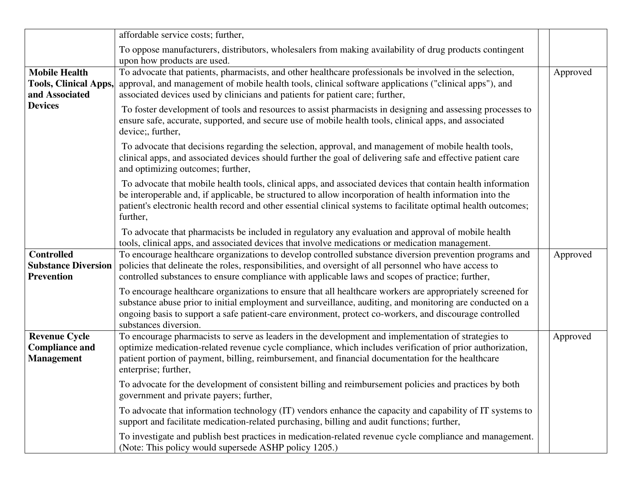|                                                                        | affordable service costs; further,                                                                                                                                                                                                                                                                                                                          |          |
|------------------------------------------------------------------------|-------------------------------------------------------------------------------------------------------------------------------------------------------------------------------------------------------------------------------------------------------------------------------------------------------------------------------------------------------------|----------|
|                                                                        | To oppose manufacturers, distributors, wholesalers from making availability of drug products contingent<br>upon how products are used.                                                                                                                                                                                                                      |          |
| <b>Mobile Health</b><br><b>Tools, Clinical Apps,</b><br>and Associated | To advocate that patients, pharmacists, and other healthcare professionals be involved in the selection,<br>approval, and management of mobile health tools, clinical software applications ("clinical apps"), and<br>associated devices used by clinicians and patients for patient care; further,                                                         | Approved |
| <b>Devices</b>                                                         | To foster development of tools and resources to assist pharmacists in designing and assessing processes to<br>ensure safe, accurate, supported, and secure use of mobile health tools, clinical apps, and associated<br>device;, further,                                                                                                                   |          |
|                                                                        | To advocate that decisions regarding the selection, approval, and management of mobile health tools,<br>clinical apps, and associated devices should further the goal of delivering safe and effective patient care<br>and optimizing outcomes; further,                                                                                                    |          |
|                                                                        | To advocate that mobile health tools, clinical apps, and associated devices that contain health information<br>be interoperable and, if applicable, be structured to allow incorporation of health information into the<br>patient's electronic health record and other essential clinical systems to facilitate optimal health outcomes;<br>further,       |          |
|                                                                        | To advocate that pharmacists be included in regulatory any evaluation and approval of mobile health<br>tools, clinical apps, and associated devices that involve medications or medication management.                                                                                                                                                      |          |
| <b>Controlled</b><br><b>Substance Diversion</b><br><b>Prevention</b>   | To encourage healthcare organizations to develop controlled substance diversion prevention programs and<br>policies that delineate the roles, responsibilities, and oversight of all personnel who have access to<br>controlled substances to ensure compliance with applicable laws and scopes of practice; further,                                       | Approved |
|                                                                        | To encourage healthcare organizations to ensure that all healthcare workers are appropriately screened for<br>substance abuse prior to initial employment and surveillance, auditing, and monitoring are conducted on a<br>ongoing basis to support a safe patient-care environment, protect co-workers, and discourage controlled<br>substances diversion. |          |
| <b>Revenue Cycle</b><br><b>Compliance and</b><br><b>Management</b>     | To encourage pharmacists to serve as leaders in the development and implementation of strategies to<br>optimize medication-related revenue cycle compliance, which includes verification of prior authorization,<br>patient portion of payment, billing, reimbursement, and financial documentation for the healthcare<br>enterprise; further,              | Approved |
|                                                                        | To advocate for the development of consistent billing and reimbursement policies and practices by both<br>government and private payers; further,                                                                                                                                                                                                           |          |
|                                                                        | To advocate that information technology (IT) vendors enhance the capacity and capability of IT systems to<br>support and facilitate medication-related purchasing, billing and audit functions; further,                                                                                                                                                    |          |
|                                                                        | To investigate and publish best practices in medication-related revenue cycle compliance and management.<br>(Note: This policy would supersede ASHP policy 1205.)                                                                                                                                                                                           |          |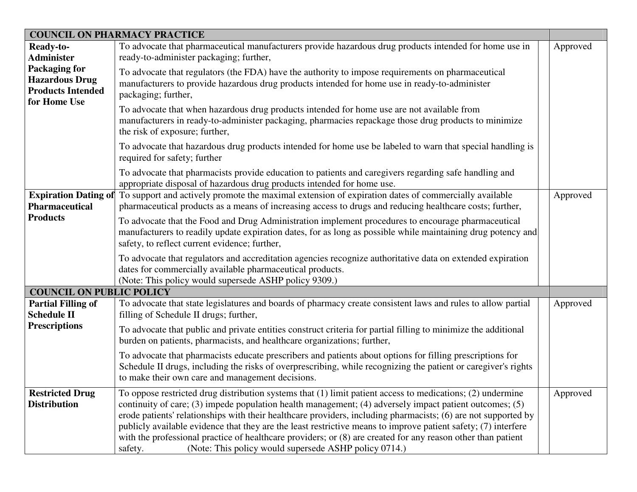|                                                                                           | <b>COUNCIL ON PHARMACY PRACTICE</b>                                                                                                                                                                                                                                                                                                                                                                                                                                                                                                                                                                                                           |          |
|-------------------------------------------------------------------------------------------|-----------------------------------------------------------------------------------------------------------------------------------------------------------------------------------------------------------------------------------------------------------------------------------------------------------------------------------------------------------------------------------------------------------------------------------------------------------------------------------------------------------------------------------------------------------------------------------------------------------------------------------------------|----------|
| <b>Ready-to-</b><br><b>Administer</b>                                                     | To advocate that pharmaceutical manufacturers provide hazardous drug products intended for home use in<br>ready-to-administer packaging; further,                                                                                                                                                                                                                                                                                                                                                                                                                                                                                             | Approved |
| <b>Packaging for</b><br><b>Hazardous Drug</b><br><b>Products Intended</b><br>for Home Use | To advocate that regulators (the FDA) have the authority to impose requirements on pharmaceutical<br>manufacturers to provide hazardous drug products intended for home use in ready-to-administer<br>packaging; further,                                                                                                                                                                                                                                                                                                                                                                                                                     |          |
|                                                                                           | To advocate that when hazardous drug products intended for home use are not available from<br>manufacturers in ready-to-administer packaging, pharmacies repackage those drug products to minimize<br>the risk of exposure; further,                                                                                                                                                                                                                                                                                                                                                                                                          |          |
|                                                                                           | To advocate that hazardous drug products intended for home use be labeled to warn that special handling is<br>required for safety; further                                                                                                                                                                                                                                                                                                                                                                                                                                                                                                    |          |
|                                                                                           | To advocate that pharmacists provide education to patients and caregivers regarding safe handling and<br>appropriate disposal of hazardous drug products intended for home use.                                                                                                                                                                                                                                                                                                                                                                                                                                                               |          |
| <b>Pharmaceutical</b>                                                                     | Expiration Dating of To support and actively promote the maximal extension of expiration dates of commercially available<br>pharmaceutical products as a means of increasing access to drugs and reducing healthcare costs; further,                                                                                                                                                                                                                                                                                                                                                                                                          | Approved |
| <b>Products</b>                                                                           | To advocate that the Food and Drug Administration implement procedures to encourage pharmaceutical<br>manufacturers to readily update expiration dates, for as long as possible while maintaining drug potency and<br>safety, to reflect current evidence; further,                                                                                                                                                                                                                                                                                                                                                                           |          |
|                                                                                           | To advocate that regulators and accreditation agencies recognize authoritative data on extended expiration<br>dates for commercially available pharmaceutical products.<br>(Note: This policy would supersede ASHP policy 9309.)                                                                                                                                                                                                                                                                                                                                                                                                              |          |
| <b>COUNCIL ON PUBLIC POLICY</b>                                                           |                                                                                                                                                                                                                                                                                                                                                                                                                                                                                                                                                                                                                                               |          |
| <b>Partial Filling of</b><br><b>Schedule II</b>                                           | To advocate that state legislatures and boards of pharmacy create consistent laws and rules to allow partial<br>filling of Schedule II drugs; further,                                                                                                                                                                                                                                                                                                                                                                                                                                                                                        | Approved |
| <b>Prescriptions</b>                                                                      | To advocate that public and private entities construct criteria for partial filling to minimize the additional<br>burden on patients, pharmacists, and healthcare organizations; further,                                                                                                                                                                                                                                                                                                                                                                                                                                                     |          |
|                                                                                           | To advocate that pharmacists educate prescribers and patients about options for filling prescriptions for<br>Schedule II drugs, including the risks of overprescribing, while recognizing the patient or caregiver's rights<br>to make their own care and management decisions.                                                                                                                                                                                                                                                                                                                                                               |          |
| <b>Restricted Drug</b><br><b>Distribution</b>                                             | To oppose restricted drug distribution systems that (1) limit patient access to medications; (2) undermine<br>continuity of care; (3) impede population health management; (4) adversely impact patient outcomes; (5)<br>erode patients' relationships with their healthcare providers, including pharmacists; (6) are not supported by<br>publicly available evidence that they are the least restrictive means to improve patient safety; (7) interfere<br>with the professional practice of healthcare providers; or (8) are created for any reason other than patient<br>(Note: This policy would supersede ASHP policy 0714.)<br>safety. | Approved |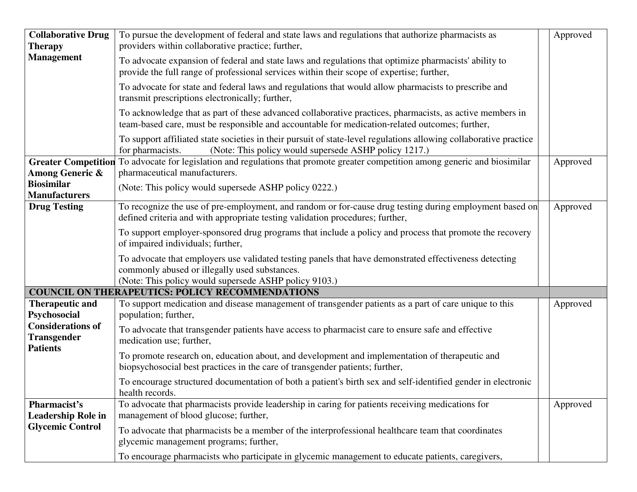| <b>Collaborative Drug</b>                                         | To pursue the development of federal and state laws and regulations that authorize pharmacists as                                                                                                                | Approved |  |
|-------------------------------------------------------------------|------------------------------------------------------------------------------------------------------------------------------------------------------------------------------------------------------------------|----------|--|
| <b>Therapy</b>                                                    | providers within collaborative practice; further,                                                                                                                                                                |          |  |
| <b>Management</b>                                                 | To advocate expansion of federal and state laws and regulations that optimize pharmacists' ability to<br>provide the full range of professional services within their scope of expertise; further,               |          |  |
|                                                                   | To advocate for state and federal laws and regulations that would allow pharmacists to prescribe and<br>transmit prescriptions electronically; further,                                                          |          |  |
|                                                                   | To acknowledge that as part of these advanced collaborative practices, pharmacists, as active members in<br>team-based care, must be responsible and accountable for medication-related outcomes; further,       |          |  |
|                                                                   | To support affiliated state societies in their pursuit of state-level regulations allowing collaborative practice<br>for pharmacists.<br>(Note: This policy would supersede ASHP policy 1217.)                   |          |  |
|                                                                   | Greater Competition To advocate for legislation and regulations that promote greater competition among generic and biosimilar                                                                                    | Approved |  |
| <b>Among Generic &amp;</b>                                        | pharmaceutical manufacturers.                                                                                                                                                                                    |          |  |
| <b>Biosimilar</b><br><b>Manufacturers</b>                         | (Note: This policy would supersede ASHP policy 0222.)                                                                                                                                                            |          |  |
| <b>Drug Testing</b>                                               | To recognize the use of pre-employment, and random or for-cause drug testing during employment based on<br>defined criteria and with appropriate testing validation procedures; further,                         | Approved |  |
|                                                                   | To support employer-sponsored drug programs that include a policy and process that promote the recovery<br>of impaired individuals; further,                                                                     |          |  |
|                                                                   | To advocate that employers use validated testing panels that have demonstrated effectiveness detecting<br>commonly abused or illegally used substances.<br>(Note: This policy would supersede ASHP policy 9103.) |          |  |
|                                                                   | <b>COUNCIL ON THERAPEUTICS: POLICY RECOMMENDATIONS</b>                                                                                                                                                           |          |  |
| <b>Therapeutic and</b><br>Psychosocial                            | To support medication and disease management of transgender patients as a part of care unique to this<br>population; further,                                                                                    | Approved |  |
| <b>Considerations of</b><br><b>Transgender</b><br><b>Patients</b> | To advocate that transgender patients have access to pharmacist care to ensure safe and effective<br>medication use; further,                                                                                    |          |  |
|                                                                   | To promote research on, education about, and development and implementation of therapeutic and<br>biopsychosocial best practices in the care of transgender patients; further,                                   |          |  |
|                                                                   | To encourage structured documentation of both a patient's birth sex and self-identified gender in electronic<br>health records.                                                                                  |          |  |
| Pharmacist's<br><b>Leadership Role in</b>                         | To advocate that pharmacists provide leadership in caring for patients receiving medications for<br>management of blood glucose; further,                                                                        | Approved |  |
| <b>Glycemic Control</b>                                           | To advocate that pharmacists be a member of the interprofessional healthcare team that coordinates<br>glycemic management programs; further,                                                                     |          |  |
|                                                                   | To encourage pharmacists who participate in glycemic management to educate patients, caregivers,                                                                                                                 |          |  |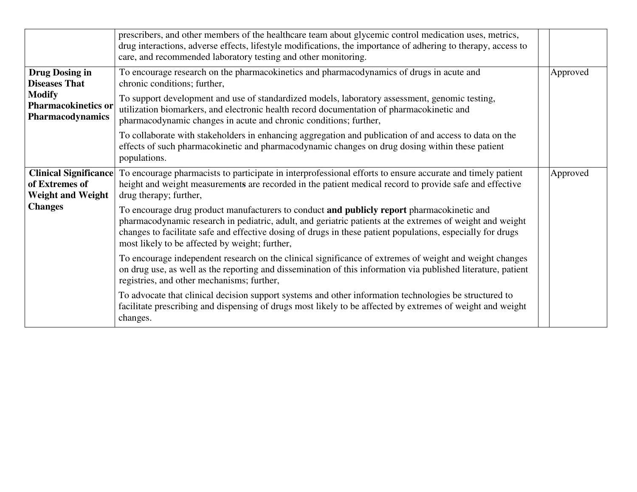|                                                                | prescribers, and other members of the healthcare team about glycemic control medication uses, metrics,<br>drug interactions, adverse effects, lifestyle modifications, the importance of adhering to therapy, access to<br>care, and recommended laboratory testing and other monitoring.                                                                                |          |
|----------------------------------------------------------------|--------------------------------------------------------------------------------------------------------------------------------------------------------------------------------------------------------------------------------------------------------------------------------------------------------------------------------------------------------------------------|----------|
| <b>Drug Dosing in</b><br><b>Diseases That</b><br><b>Modify</b> | To encourage research on the pharmacokinetics and pharmacodynamics of drugs in acute and<br>chronic conditions; further,                                                                                                                                                                                                                                                 | Approved |
| <b>Pharmacokinetics or</b><br><b>Pharmacodynamics</b>          | To support development and use of standardized models, laboratory assessment, genomic testing,<br>utilization biomarkers, and electronic health record documentation of pharmacokinetic and<br>pharmacodynamic changes in acute and chronic conditions; further,                                                                                                         |          |
|                                                                | To collaborate with stakeholders in enhancing aggregation and publication of and access to data on the<br>effects of such pharmacokinetic and pharmacodynamic changes on drug dosing within these patient<br>populations.                                                                                                                                                |          |
| of Extremes of<br><b>Weight and Weight</b>                     | Clinical Significance To encourage pharmacists to participate in interprofessional efforts to ensure accurate and timely patient<br>height and weight measurements are recorded in the patient medical record to provide safe and effective<br>drug therapy; further,                                                                                                    | Approved |
| <b>Changes</b>                                                 | To encourage drug product manufacturers to conduct and publicly report pharmacokinetic and<br>pharmacodynamic research in pediatric, adult, and geriatric patients at the extremes of weight and weight<br>changes to facilitate safe and effective dosing of drugs in these patient populations, especially for drugs<br>most likely to be affected by weight; further, |          |
|                                                                | To encourage independent research on the clinical significance of extremes of weight and weight changes<br>on drug use, as well as the reporting and dissemination of this information via published literature, patient<br>registries, and other mechanisms; further,                                                                                                   |          |
|                                                                | To advocate that clinical decision support systems and other information technologies be structured to<br>facilitate prescribing and dispensing of drugs most likely to be affected by extremes of weight and weight<br>changes.                                                                                                                                         |          |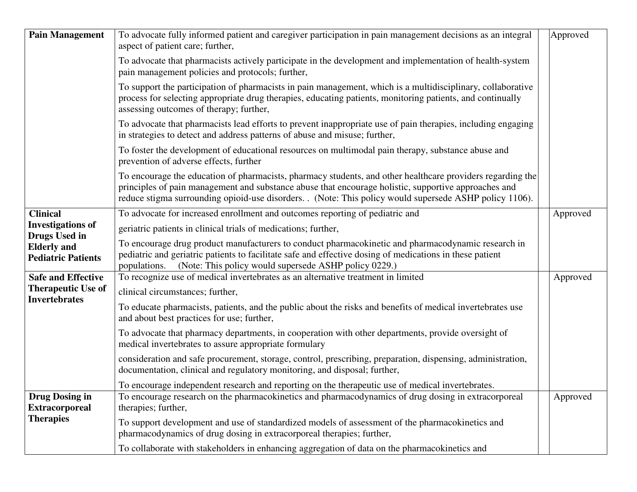| <b>Pain Management</b>                                           | To advocate fully informed patient and caregiver participation in pain management decisions as an integral<br>aspect of patient care; further,                                                                                                                                                                              | Approved |
|------------------------------------------------------------------|-----------------------------------------------------------------------------------------------------------------------------------------------------------------------------------------------------------------------------------------------------------------------------------------------------------------------------|----------|
|                                                                  | To advocate that pharmacists actively participate in the development and implementation of health-system<br>pain management policies and protocols; further,                                                                                                                                                                |          |
|                                                                  | To support the participation of pharmacists in pain management, which is a multidisciplinary, collaborative<br>process for selecting appropriate drug therapies, educating patients, monitoring patients, and continually<br>assessing outcomes of therapy; further,                                                        |          |
|                                                                  | To advocate that pharmacists lead efforts to prevent inappropriate use of pain therapies, including engaging<br>in strategies to detect and address patterns of abuse and misuse; further,                                                                                                                                  |          |
|                                                                  | To foster the development of educational resources on multimodal pain therapy, substance abuse and<br>prevention of adverse effects, further                                                                                                                                                                                |          |
|                                                                  | To encourage the education of pharmacists, pharmacy students, and other healthcare providers regarding the<br>principles of pain management and substance abuse that encourage holistic, supportive approaches and<br>reduce stigma surrounding opioid-use disorders. (Note: This policy would supersede ASHP policy 1106). |          |
| <b>Clinical</b>                                                  | To advocate for increased enrollment and outcomes reporting of pediatric and                                                                                                                                                                                                                                                | Approved |
| <b>Investigations of</b>                                         | geriatric patients in clinical trials of medications; further,                                                                                                                                                                                                                                                              |          |
| Drugs Used in<br><b>Elderly</b> and<br><b>Pediatric Patients</b> | To encourage drug product manufacturers to conduct pharmacokinetic and pharmacodynamic research in<br>pediatric and geriatric patients to facilitate safe and effective dosing of medications in these patient<br>(Note: This policy would supersede ASHP policy 0229.)<br>populations.                                     |          |
| <b>Safe and Effective</b>                                        | To recognize use of medical invertebrates as an alternative treatment in limited                                                                                                                                                                                                                                            | Approved |
| <b>Therapeutic Use of</b>                                        | clinical circumstances; further,                                                                                                                                                                                                                                                                                            |          |
| <b>Invertebrates</b>                                             | To educate pharmacists, patients, and the public about the risks and benefits of medical invertebrates use<br>and about best practices for use; further,                                                                                                                                                                    |          |
|                                                                  | To advocate that pharmacy departments, in cooperation with other departments, provide oversight of<br>medical invertebrates to assure appropriate formulary                                                                                                                                                                 |          |
|                                                                  | consideration and safe procurement, storage, control, prescribing, preparation, dispensing, administration,<br>documentation, clinical and regulatory monitoring, and disposal; further,                                                                                                                                    |          |
|                                                                  | To encourage independent research and reporting on the therapeutic use of medical invertebrates.                                                                                                                                                                                                                            |          |
| <b>Drug Dosing in</b><br><b>Extracorporeal</b>                   | To encourage research on the pharmacokinetics and pharmacodynamics of drug dosing in extracorporeal<br>therapies; further,                                                                                                                                                                                                  | Approved |
| <b>Therapies</b>                                                 | To support development and use of standardized models of assessment of the pharmacokinetics and<br>pharmacodynamics of drug dosing in extracorporeal therapies; further,                                                                                                                                                    |          |
|                                                                  | To collaborate with stakeholders in enhancing aggregation of data on the pharmacokinetics and                                                                                                                                                                                                                               |          |